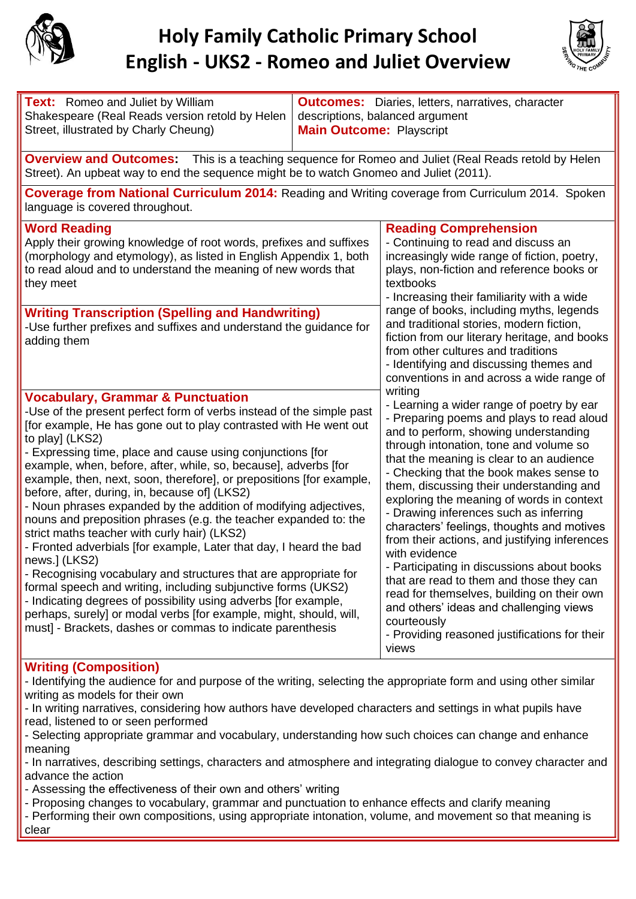

## **Holy Family Catholic Primary School English - UKS2 - Romeo and Juliet Overview**



**Text:** Romeo and Juliet by William Shakespeare (Real Reads version retold by Helen Street, illustrated by Charly Cheung)

**Outcomes:** Diaries, letters, narratives, character descriptions, balanced argument **Main Outcome:** Playscript

**Overview and Outcomes:** This is a teaching sequence for Romeo and Juliet (Real Reads retold by Helen Street). An upbeat way to end the sequence might be to watch Gnomeo and Juliet (2011).

**Coverage from National Curriculum 2014:** Reading and Writing coverage from Curriculum 2014. Spoken language is covered throughout.

| <b>Word Reading</b><br>Apply their growing knowledge of root words, prefixes and suffixes<br>(morphology and etymology), as listed in English Appendix 1, both<br>to read aloud and to understand the meaning of new words that<br>they meet<br><b>Writing Transcription (Spelling and Handwriting)</b><br>-Use further prefixes and suffixes and understand the guidance for<br>adding them                                                                                                                                                                                                                                                                                                                                                                                                                                                                                                                                                                                                                                                                                                                                                             | <b>Reading Comprehension</b><br>- Continuing to read and discuss an<br>increasingly wide range of fiction, poetry,<br>plays, non-fiction and reference books or<br>textbooks<br>- Increasing their familiarity with a wide<br>range of books, including myths, legends<br>and traditional stories, modern fiction,<br>fiction from our literary heritage, and books<br>from other cultures and traditions<br>- Identifying and discussing themes and                                                                                                                                                                                                                                                                                                                                                                                    |
|----------------------------------------------------------------------------------------------------------------------------------------------------------------------------------------------------------------------------------------------------------------------------------------------------------------------------------------------------------------------------------------------------------------------------------------------------------------------------------------------------------------------------------------------------------------------------------------------------------------------------------------------------------------------------------------------------------------------------------------------------------------------------------------------------------------------------------------------------------------------------------------------------------------------------------------------------------------------------------------------------------------------------------------------------------------------------------------------------------------------------------------------------------|-----------------------------------------------------------------------------------------------------------------------------------------------------------------------------------------------------------------------------------------------------------------------------------------------------------------------------------------------------------------------------------------------------------------------------------------------------------------------------------------------------------------------------------------------------------------------------------------------------------------------------------------------------------------------------------------------------------------------------------------------------------------------------------------------------------------------------------------|
| <b>Vocabulary, Grammar &amp; Punctuation</b><br>-Use of the present perfect form of verbs instead of the simple past<br>[for example, He has gone out to play contrasted with He went out<br>to play] (LKS2)<br>- Expressing time, place and cause using conjunctions [for<br>example, when, before, after, while, so, because], adverbs [for<br>example, then, next, soon, therefore], or prepositions [for example,<br>before, after, during, in, because of] (LKS2)<br>- Noun phrases expanded by the addition of modifying adjectives,<br>nouns and preposition phrases (e.g. the teacher expanded to: the<br>strict maths teacher with curly hair) (LKS2)<br>- Fronted adverbials [for example, Later that day, I heard the bad<br>news.] (LKS2)<br>- Recognising vocabulary and structures that are appropriate for<br>formal speech and writing, including subjunctive forms (UKS2)<br>- Indicating degrees of possibility using adverbs [for example,<br>perhaps, surely] or modal verbs [for example, might, should, will,<br>must] - Brackets, dashes or commas to indicate parenthesis<br>$M = 100$ and $M = 100$ and $M = 100$ and $M = 100$ | conventions in and across a wide range of<br>writing<br>- Learning a wider range of poetry by ear<br>- Preparing poems and plays to read aloud<br>and to perform, showing understanding<br>through intonation, tone and volume so<br>that the meaning is clear to an audience<br>- Checking that the book makes sense to<br>them, discussing their understanding and<br>exploring the meaning of words in context<br>- Drawing inferences such as inferring<br>characters' feelings, thoughts and motives<br>from their actions, and justifying inferences<br>with evidence<br>- Participating in discussions about books<br>that are read to them and those they can<br>read for themselves, building on their own<br>and others' ideas and challenging views<br>courteously<br>- Providing reasoned justifications for their<br>views |

## **Writing (Composition)**

- Identifying the audience for and purpose of the writing, selecting the appropriate form and using other similar writing as models for their own

- In writing narratives, considering how authors have developed characters and settings in what pupils have read, listened to or seen performed

- Selecting appropriate grammar and vocabulary, understanding how such choices can change and enhance meaning

- In narratives, describing settings, characters and atmosphere and integrating dialogue to convey character and advance the action

- Assessing the effectiveness of their own and others' writing

- Proposing changes to vocabulary, grammar and punctuation to enhance effects and clarify meaning

- Performing their own compositions, using appropriate intonation, volume, and movement so that meaning is clear